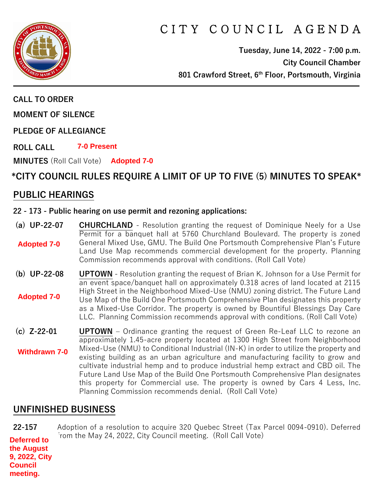

# C I T Y C O U N C I L A G E N D A

**Tuesday, June 14, 2022 - 7:00 p.m. City Council Chamber 801 Crawford Street, 6th Floor, Portsmouth, Virginia**

**CALL TO ORDER**

**MOMENT OF SILENCE**

**PLEDGE OF ALLEGIANCE** 

**ROLL CALL 7-0 Present**

**MINUTES** (Roll Call Vote) **Adopted 7-0**

## **\*CITY COUNCIL RULES REQUIRE A LIMIT OF UP TO FIVE (5) MINUTES TO SPEAK\***

### **PUBLIC HEARINGS**

#### **22 - 173 - Public hearing on use permit and rezoning applications:**

- **(a) UP-22-07 CHURCHLAND** Resolution granting the request of Dominique Neely for a Use Permit for a banquet hall at 5760 Churchland Boulevard. The property is zoned General Mixed Use, GMU. The Build One Portsmouth Comprehensive Plan's Future Land Use Map recommends commercial development for the property. Planning Commission recommends approval with conditions. (Roll Call Vote) **Adopted 7-0**
- **(b) UP-22-08 UPTOWN** Resolution granting the request of Brian K. Johnson for a Use Permit for an event space/banquet hall on approximately 0.318 acres of land located at 2115 High Street in the Neighborhood Mixed-Use (NMU) zoning district. The Future Land Use Map of the Build One Portsmouth Comprehensive Plan designates this property as a Mixed-Use Corridor. The property is owned by Bountiful Blessings Day Care LLC. Planning Commission recommends approval with conditions. (Roll Call Vote) **Adopted 7-0**
- **(c) Z-22-01 UPTOWN** Ordinance granting the request of Green Re-Leaf LLC to rezone an approximately 1.45-acre property located at 1300 High Street from Neighborhood Mixed-Use (NMU) to Conditional Industrial (IN-K) in order to utilize the property and existing building as an urban agriculture and manufacturing facility to grow and cultivate industrial hemp and to produce industrial hemp extract and CBD oil. The Future Land Use Map of the Build One Portsmouth Comprehensive Plan designates this property for Commercial use. The property is owned by Cars 4 Less, Inc. Planning Commission recommends denial. (Roll Call Vote) **Withdrawn 7-0**

## **UNFINISHED BUSINESS**

**22-157** Adoption of a resolution to acquire 320 Quebec Street (Tax Parcel 0094-0910). Deferred from the May 24, 2022, City Council meeting. (Roll Call Vote) **Deferred to the August 9, 2022, City Council meeting.**